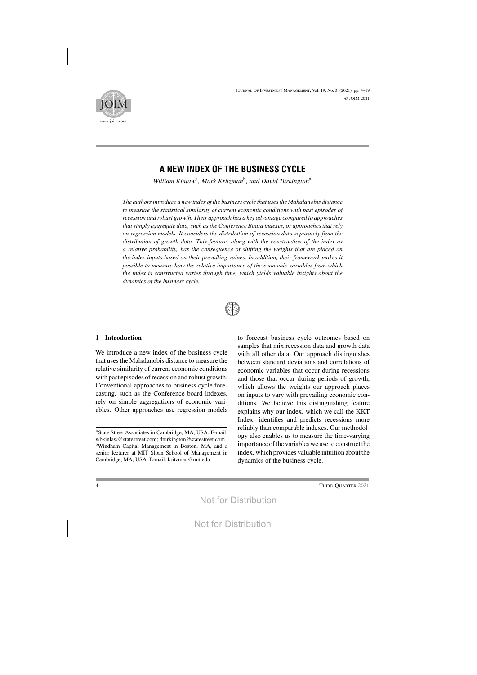

# **A NEW INDEX OF THE BUSINESS CYCLE**

*William Kinlaw*a*, Mark Kritzman*b*, and David Turkington*<sup>a</sup>

*The authorsintroduce a new index of the business cycle that usesthe Mahalanobis distance to measure the statistical similarity of current economic conditions with past episodes of recession and robust growth. Their approach has a key advantage compared to approaches thatsimply aggregate data, such asthe Conference Board indexes, or approachesthatrely on regression models. It considers the distribution of recession data separately from the distribution of growth data. This feature, along with the construction of the index as a relative probability, has the consequence of shifting the weights that are placed on the index inputs based on their prevailing values. In addition, their framework makes it possible to measure how the relative importance of the economic variables from which the index is constructed varies through time, which yields valuable insights about the dynamics of the business cycle.*



## **1 Introduction**

We introduce a new index of the business cycle that usesthe Mahalanobis distance to measure the relative similarity of current economic conditions with past episodes of recession and robust growth. Conventional approaches to business cycle forecasting, such as the Conference board indexes, rely on simple aggregations of economic variables. Other approaches use regression models

to forecast business cycle outcomes based on samples that mix recession data and growth data with all other data. Our approach distinguishes between standard deviations and correlations of economic variables that occur during recessions and those that occur during periods of growth, which allows the weights our approach places on inputs to vary with prevailing economic conditions. We believe this distinguishing feature explains why our index, which we call the KKT Index, identifies and predicts recessions more reliably than comparable indexes. Our methodology also enables us to measure the time-varying importance of the variables we use to construct the index, which provides valuable intuition about the dynamics of the business cycle.

<sup>&</sup>lt;sup>a</sup>State Street Associates in Cambridge, MA, USA. E-mail: wbkinlaw@statestreet.com; dturkington@statestreet.com bWindham Capital Management in Boston, MA, and a senior lecturer at MIT Sloan School of Management in Cambridge, MA, USA. E-mail: kritzman@mit.edu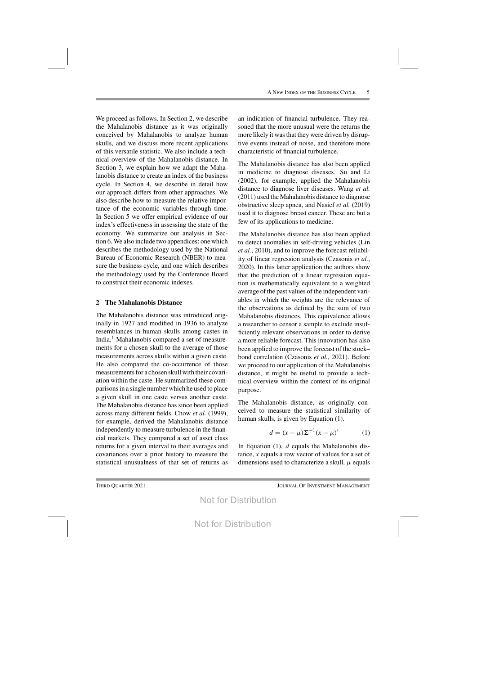We proceed as follows. In Section 2, we describe the Mahalanobis distance as it was originally conceived by Mahalanobis to analyze human skulls, and we discuss more recent applications of this versatile statistic. We also include a technical overview of the Mahalanobis distance. In Section 3, we explain how we adapt the Mahalanobis distance to create an index of the business cycle. In Section 4, we describe in detail how our approach differs from other approaches. We also describe how to measure the relative importance of the economic variables through time. In Section 5 we offer empirical evidence of our index's effectiveness in assessing the state of the economy. We summarize our analysis in Section 6. We also include two appendices: one which describes the methodology used by the National Bureau of Economic Research (NBER) to measure the business cycle, and one which describes the methodology used by the Conference Board to construct their economic indexes.

## **2 The Mahalanobis Distance**

The Mahalanobis distance was introduced originally in 1927 and modified in 1936 to analyze resemblances in human skulls among castes in India.<sup>1</sup> Mahalanobis compared a set of measurements for a chosen skull to the average of those measurements across skulls within a given caste. He also compared the co-occurrence of those measurements for a chosen skull with their covariation within the caste. He summarized these comparisonsin a single number which he used to place a given skull in one caste versus another caste. The Mahalanobis distance has since been applied across many different fields. Chow *et al.* (1999), for example, derived the Mahalanobis distance independently to measure turbulence in the financial markets. They compared a set of asset class returns for a given interval to their averages and covariances over a prior history to measure the statistical unusualness of that set of returns as

an indication of financial turbulence. They reasoned that the more unusual were the returns the more likely it was that they were driven by disruptive events instead of noise, and therefore more characteristic of financial turbulence.

The Mahalanobis distance has also been applied in medicine to diagnose diseases. Su and Li (2002), for example, applied the Mahalanobis distance to diagnose liver diseases. Wang *et al.* (2011) used the Mahalanobis distance to diagnose obstructive sleep apnea, and Nasief *et al.* (2019) used it to diagnose breast cancer. These are but a few of its applications to medicine.

The Mahalanobis distance has also been applied to detect anomalies in self-driving vehicles (Lin *et al.*, 2010), and to improve the forecast reliability of linear regression analysis (Czasonis *et al.*, 2020). In this latter application the authors show that the prediction of a linear regression equation is mathematically equivalent to a weighted average of the past values of the independent variables in which the weights are the relevance of the observations as defined by the sum of two Mahalanobis distances. This equivalence allows a researcher to censor a sample to exclude insufficiently relevant observations in order to derive a more reliable forecast. This innovation has also been applied to improve the forecast of the stock– bond correlation (Czasonis *et al.*, 2021). Before we proceed to our application of the Mahalanobis distance, it might be useful to provide a technical overview within the context of its original purpose.

The Mahalanobis distance, as originally conceived to measure the statistical similarity of human skulls, is given by Equation (1).

$$
d = (x - \mu) \Sigma^{-1} (x - \mu)'
$$
 (1)

In Equation  $(1)$ , d equals the Mahalanobis distance,  $x$  equals a row vector of values for a set of dimensions used to characterize a skull,  $\mu$  equals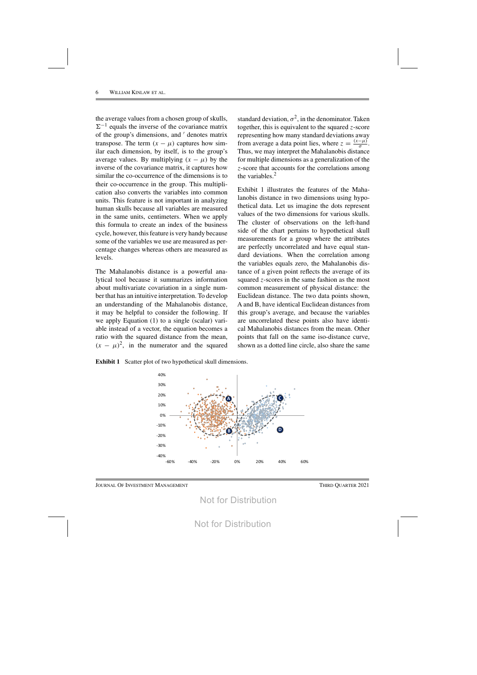the average values from a chosen group of skulls,  $\Sigma^{-1}$  equals the inverse of the covariance matrix of the group's dimensions, and ' denotes matrix transpose. The term  $(x - \mu)$  captures how similar each dimension, by itself, is to the group's average values. By multiplying  $(x - \mu)$  by the inverse of the covariance matrix, it captures how similar the co-occurrence of the dimensions is to their co-occurrence in the group. This multiplication also converts the variables into common units. This feature is not important in analyzing human skulls because all variables are measured in the same units, centimeters. When we apply this formula to create an index of the business cycle, however, this feature is very handy because some of the variables we use are measured as percentage changes whereas others are measured as levels.

The Mahalanobis distance is a powerful analytical tool because it summarizes information about multivariate covariation in a single number that has an intuitive interpretation. To develop an understanding of the Mahalanobis distance, it may be helpful to consider the following. If we apply Equation (1) to a single (scalar) variable instead of a vector, the equation becomes a ratio with the squared distance from the mean,  $(x - \mu)^2$ , in the numerator and the squared

standard deviation,  $\sigma^2$ , in the denominator. Taken together, this is equivalent to the squared  $z$ -score representing how many standard deviations away from average a data point lies, where  $z = \frac{(x-\mu)}{\sigma}$ . Thus, we may interpret the Mahalanobis distance for multiple dimensions as a generalization of the z-score that accounts for the correlations among the variables.2

Exhibit 1 illustrates the features of the Mahalanobis distance in two dimensions using hypothetical data. Let us imagine the dots represent values of the two dimensions for various skulls. The cluster of observations on the left-hand side of the chart pertains to hypothetical skull measurements for a group where the attributes are perfectly uncorrelated and have equal standard deviations. When the correlation among the variables equals zero, the Mahalanobis distance of a given point reflects the average of its squared z-scores in the same fashion as the most common measurement of physical distance: the Euclidean distance. The two data points shown, A and B, have identical Euclidean distances from this group's average, and because the variables are uncorrelated these points also have identical Mahalanobis distances from the mean. Other points that fall on the same iso-distance curve, shown as a dotted line circle, also share the same

**Exhibit 1** Scatter plot of two hypothetical skull dimensions.

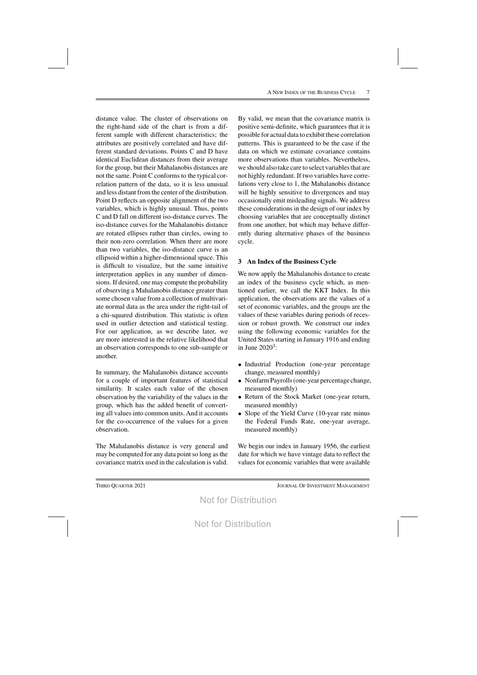distance value. The cluster of observations on the right-hand side of the chart is from a different sample with different characteristics; the attributes are positively correlated and have different standard deviations. Points C and D have identical Euclidean distances from their average for the group, but their Mahalanobis distances are not the same. Point C conforms to the typical correlation pattern of the data, so it is less unusual and less distant from the center of the distribution. Point D reflects an opposite alignment of the two variables, which is highly unusual. Thus, points C and D fall on different iso-distance curves. The iso-distance curves for the Mahalanobis distance are rotated ellipses rather than circles, owing to their non-zero correlation. When there are more than two variables, the iso-distance curve is an ellipsoid within a higher-dimensional space. This is difficult to visualize, but the same intuitive interpretation applies in any number of dimensions. If desired, one may compute the probability of observing a Mahalanobis distance greater than some chosen value from a collection of multivariate normal data as the area under the right-tail of a chi-squared distribution. This statistic is often used in outlier detection and statistical testing. For our application, as we describe later, we are more interested in the relative likelihood that an observation corresponds to one sub-sample or another.

In summary, the Mahalanobis distance accounts for a couple of important features of statistical similarity. It scales each value of the chosen observation by the variability of the values in the group, which has the added benefit of converting all values into common units. And it accounts for the co-occurrence of the values for a given observation.

The Mahalanobis distance is very general and may be computed for any data point so long as the covariance matrix used in the calculation is valid. By valid, we mean that the covariance matrix is positive semi-definite, which guarantees that it is possible for actual data to exhibit these correlation patterns. This is guaranteed to be the case if the data on which we estimate covariance contains more observations than variables. Nevertheless, we should also take care to select variables that are not highly redundant. If two variables have correlations very close to 1, the Mahalanobis distance will be highly sensitive to divergences and may occasionally emit misleading signals. We address these considerations in the design of our index by choosing variables that are conceptually distinct from one another, but which may behave differently during alternative phases of the business cycle.

# **3 An Index of the Business Cycle**

We now apply the Mahalanobis distance to create an index of the business cycle which, as mentioned earlier, we call the KKT Index. In this application, the observations are the values of a set of economic variables, and the groups are the values of these variables during periods of recession or robust growth. We construct our index using the following economic variables for the United States starting in January 1916 and ending in June  $2020^3$ :

- Industrial Production (one-year percentage change, measured monthly)
- Nonfarm Payrolls (one-year percentage change, measured monthly)
- Return of the Stock Market (one-year return, measured monthly)
- Slope of the Yield Curve (10-year rate minus the Federal Funds Rate, one-year average, measured monthly)

We begin our index in January 1956, the earliest date for which we have vintage data to reflect the values for economic variables that were available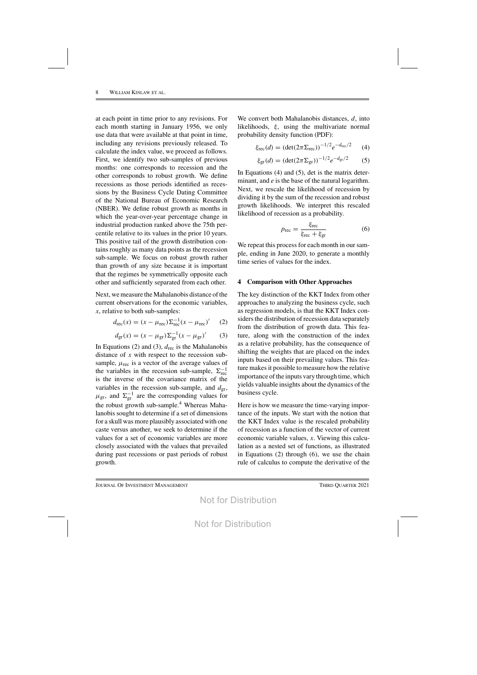at each point in time prior to any revisions. For each month starting in January 1956, we only use data that were available at that point in time, including any revisions previously released. To calculate the index value, we proceed as follows. First, we identify two sub-samples of previous months: one corresponds to recession and the other corresponds to robust growth. We define recessions as those periods identified as recessions by the Business Cycle Dating Committee of the National Bureau of Economic Research (NBER). We define robust growth as months in which the year-over-year percentage change in industrial production ranked above the 75th percentile relative to its values in the prior 10 years. This positive tail of the growth distribution contains roughly as many data points as the recession sub-sample. We focus on robust growth rather than growth of any size because it is important that the regimes be symmetrically opposite each other and sufficiently separated from each other.

Next, we measure the Mahalanobis distance of the current observations for the economic variables, x, relative to both sub-samples:

$$
d_{\rm rec}(x) = (x - \mu_{\rm rec}) \Sigma_{\rm rec}^{-1} (x - \mu_{\rm rec})' \tag{2}
$$

$$
d_{\rm gr}(x) = (x - \mu_{\rm gr}) \Sigma_{\rm gr}^{-1} (x - \mu_{\rm gr})' \qquad (3)
$$

In Equations (2) and (3),  $d_{\text{rec}}$  is the Mahalanobis distance of  $x$  with respect to the recession subsample,  $\mu_{\text{rec}}$  is a vector of the average values of the variables in the recession sub-sample,  $\Sigma_{\text{rec}}^{-1}$ is the inverse of the covariance matrix of the variables in the recession sub-sample, and  $d_{gr}$ ,  $\mu_{\rm gr}$ , and  $\Sigma_{\rm gr}^{-1}$  are the corresponding values for the robust growth sub-sample.<sup>4</sup> Whereas Mahalanobis sought to determine if a set of dimensions for a skull was more plausibly associated with one caste versus another, we seek to determine if the values for a set of economic variables are more closely associated with the values that prevailed during past recessions or past periods of robust growth.

We convert both Mahalanobis distances, d, into likelihoods, ξ, using the multivariate normal probability density function (PDF):

$$
\xi_{\rm rec}(d) = (\det(2\pi \Sigma_{\rm rec}))^{-1/2} e^{-d_{\rm rec}/2} \qquad (4)
$$

$$
\xi_{\rm gr}(d) = (\det(2\pi \Sigma_{\rm gr}))^{-1/2} e^{-d_{\rm gr}/2} \qquad (5)
$$

In Equations (4) and (5), det is the matrix determinant, and e is the base of the natural logarithm. Next, we rescale the likelihood of recession by dividing it by the sum of the recession and robust growth likelihoods. We interpret this rescaled likelihood of recession as a probability.

$$
p_{\text{rec}} = \frac{\xi_{\text{rec}}}{\xi_{\text{rec}} + \xi_{\text{gr}}}
$$
 (6)

We repeat this process for each month in our sample, ending in June 2020, to generate a monthly time series of values for the index.

## **4 Comparison with Other Approaches**

The key distinction of the KKT Index from other approaches to analyzing the business cycle, such as regression models, is that the KKT Index considers the distribution of recession data separately from the distribution of growth data. This feature, along with the construction of the index as a relative probability, has the consequence of shifting the weights that are placed on the index inputs based on their prevailing values. This feature makesit possible to measure how the relative importance of the inputs vary through time, which yields valuable insights about the dynamics of the business cycle.

Here is how we measure the time-varying importance of the inputs. We start with the notion that the KKT Index value is the rescaled probability of recession as a function of the vector of current economic variable values, x. Viewing this calculation as a nested set of functions, as illustrated in Equations (2) through (6), we use the chain rule of calculus to compute the derivative of the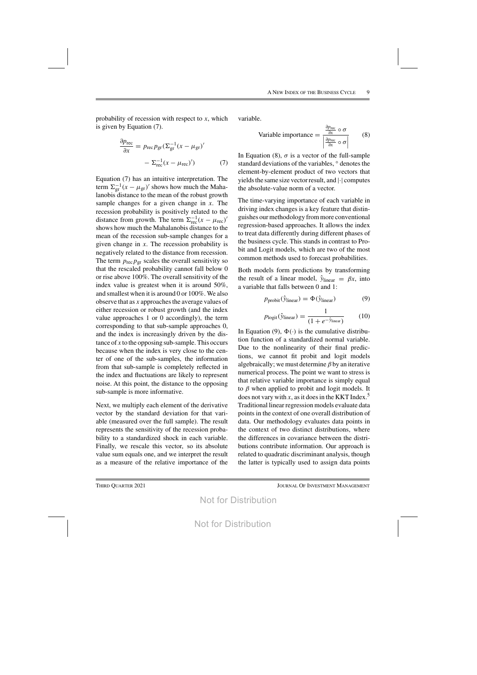probability of recession with respect to  $x$ , which is given by Equation (7).

$$
\frac{\partial p_{\text{rec}}}{\partial x} = p_{\text{rec}} p_{\text{gr}} (\Sigma_{\text{gr}}^{-1} (x - \mu_{\text{gr}})'
$$

$$
- \Sigma_{\text{rec}}^{-1} (x - \mu_{\text{rec}})')
$$
(7)

Equation (7) has an intuitive interpretation. The term  $\Sigma_{\text{gr}}^{-1}(x - \mu_{\text{gr}})'$  shows how much the Mahalanobis distance to the mean of the robust growth sample changes for a given change in  $x$ . The recession probability is positively related to the distance from growth. The term  $\Sigma_{\text{rec}}^{-1}(x - \mu_{\text{rec}})^t$ shows how much the Mahalanobis distance to the mean of the recession sub-sample changes for a given change in  $x$ . The recession probability is negatively related to the distance from recession. The term  $p_{\text{rec}} p_{\text{gr}}$  scales the overall sensitivity so that the rescaled probability cannot fall below 0 or rise above 100%. The overall sensitivity of the index value is greatest when it is around 50%, and smallest when it is around 0 or 100%. We also observe that as  $x$  approaches the average values of either recession or robust growth (and the index value approaches 1 or 0 accordingly), the term corresponding to that sub-sample approaches 0, and the index is increasingly driven by the distance of  $x$  to the opposing sub-sample. This occurs because when the index is very close to the center of one of the sub-samples, the information from that sub-sample is completely reflected in the index and fluctuations are likely to represent noise. At this point, the distance to the opposing sub-sample is more informative.

Next, we multiply each element of the derivative vector by the standard deviation for that variable (measured over the full sample). The result represents the sensitivity of the recession probability to a standardized shock in each variable. Finally, we rescale this vector, so its absolute value sum equals one, and we interpret the result as a measure of the relative importance of the variable.

Variable importance 
$$
=
$$
  $\frac{\frac{\partial p_{\text{rec}}}{\partial x} \circ \sigma}{\left| \frac{\partial p_{\text{rec}}}{\partial x} \circ \sigma \right|}$  (8)

In Equation (8),  $\sigma$  is a vector of the full-sample standard deviations of the variables, ◦ denotes the element-by-element product of two vectors that yields the same size vector result, and  $|\cdot|$  computes the absolute-value norm of a vector.

The time-varying importance of each variable in driving index changes is a key feature that distinguishes ourmethodology frommore conventional regression-based approaches. It allows the index to treat data differently during different phases of the business cycle. This stands in contrast to Probit and Logit models, which are two of the most common methods used to forecast probabilities.

Both models form predictions by transforming the result of a linear model,  $\hat{y}_{linear} = \beta x$ , into a variable that falls between 0 and 1:

$$
p_{\text{probit}}(\hat{y}_{\text{linear}}) = \Phi(\hat{y}_{\text{linear}}) \tag{9}
$$

$$
p_{\text{logit}}(\hat{y}_{\text{linear}}) = \frac{1}{(1 + e^{-\hat{y}_{\text{linear}}})}
$$
 (10)

In Equation (9),  $\Phi(\cdot)$  is the cumulative distribution function of a standardized normal variable. Due to the nonlinearity of their final predictions, we cannot fit probit and logit models algebraically; we must determine  $\beta$  by an iterative numerical process. The point we want to stress is that relative variable importance is simply equal to  $\beta$  when applied to probit and logit models. It does not vary with x, as it does in the KKT Index.<sup>5</sup> Traditional linear regression models evaluate data points in the context of one overall distribution of data. Our methodology evaluates data points in the context of two distinct distributions, where the differences in covariance between the distributions contribute information. Our approach is related to quadratic discriminant analysis, though the latter is typically used to assign data points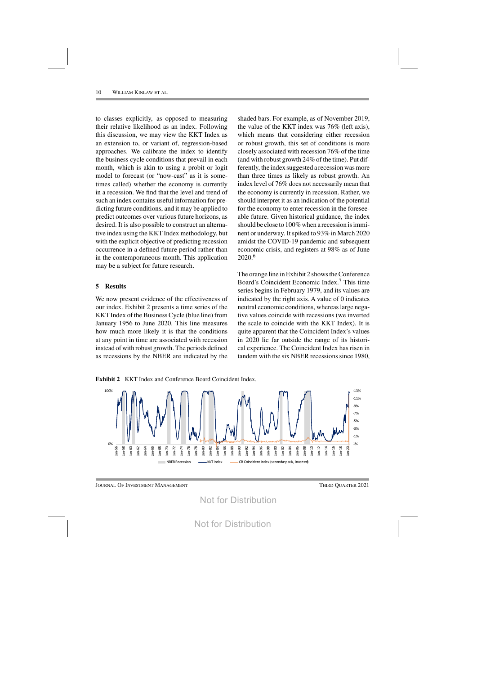to classes explicitly, as opposed to measuring their relative likelihood as an index. Following this discussion, we may view the KKT Index as an extension to, or variant of, regression-based approaches. We calibrate the index to identify the business cycle conditions that prevail in each month, which is akin to using a probit or logit model to forecast (or "now-cast" as it is sometimes called) whether the economy is currently in a recession. We find that the level and trend of such an index contains useful information for predicting future conditions, and it may be applied to predict outcomes over various future horizons, as desired. It is also possible to construct an alternative index using the KKT Index methodology, but with the explicit objective of predicting recession occurrence in a defined future period rather than in the contemporaneous month. This application may be a subject for future research.

## **5 Results**

We now present evidence of the effectiveness of our index. Exhibit 2 presents a time series of the KKT Index of the Business Cycle (blue line) from January 1956 to June 2020. This line measures how much more likely it is that the conditions at any point in time are associated with recession instead of with robust growth. The periods defined as recessions by the NBER are indicated by the

shaded bars. For example, as of November 2019, the value of the KKT index was 76% (left axis), which means that considering either recession or robust growth, this set of conditions is more closely associated with recession 76% of the time (and with robust growth 24% of the time). Put differently, the index suggested a recession was more than three times as likely as robust growth. An index level of 76% does not necessarily mean that the economy is currently in recession. Rather, we should interpret it as an indication of the potential for the economy to enter recession in the foreseeable future. Given historical guidance, the index should be close to 100% when a recession isimminent or underway. Itspiked to 93% in March 2020 amidst the COVID-19 pandemic and subsequent economic crisis, and registers at 98% as of June 2020.6

The orange line in Exhibit 2 shows the Conference Board's Coincident Economic Index.7 This time series begins in February 1979, and its values are indicated by the right axis. A value of 0 indicates neutral economic conditions, whereas large negative values coincide with recessions (we inverted the scale to coincide with the KKT Index). It is quite apparent that the Coincident Index's values in 2020 lie far outside the range of its historical experience. The Coincident Index has risen in tandem with the six NBER recessions since 1980,

**Exhibit 2** KKT Index and Conference Board Coincident Index.

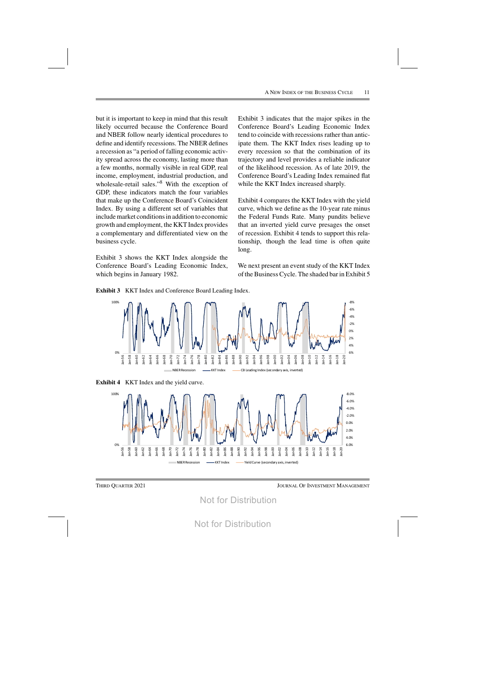but it is important to keep in mind that this result likely occurred because the Conference Board and NBER follow nearly identical procedures to define and identify recessions. The NBER defines a recession as "a period of falling economic activity spread across the economy, lasting more than a few months, normally visible in real GDP, real income, employment, industrial production, and wholesale-retail sales."8 With the exception of GDP, these indicators match the four variables that make up the Conference Board's Coincident Index. By using a different set of variables that include market conditions in addition to economic growth and employment, the KKTIndex provides a complementary and differentiated view on the business cycle.

Exhibit 3 shows the KKT Index alongside the Conference Board's Leading Economic Index, which begins in January 1982.

Exhibit 3 indicates that the major spikes in the Conference Board's Leading Economic Index tend to coincide with recessions rather than anticipate them. The KKT Index rises leading up to every recession so that the combination of its trajectory and level provides a reliable indicator of the likelihood recession. As of late 2019, the Conference Board's Leading Index remained flat while the KKT Index increased sharply.

Exhibit 4 compares the KKT Index with the yield curve, which we define as the 10-year rate minus the Federal Funds Rate. Many pundits believe that an inverted yield curve presages the onset of recession. Exhibit 4 tends to support this relationship, though the lead time is often quite long.

We next present an event study of the KKT Index of the Business Cycle. The shaded bar in Exhibit 5



**Exhibit 3** KKT Index and Conference Board Leading Index.





Not for Distribution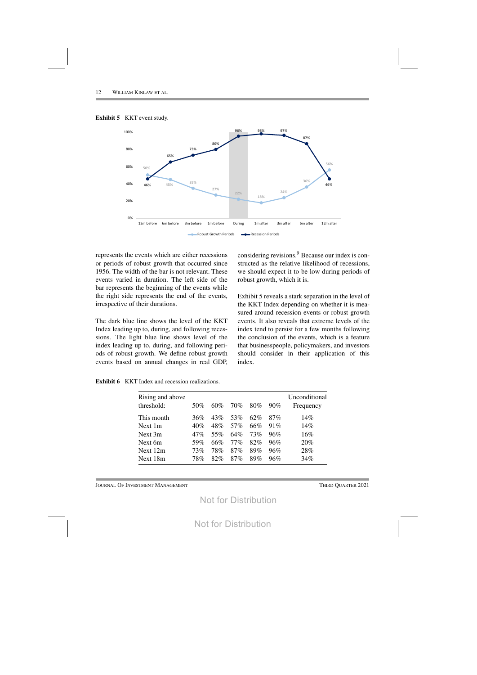



represents the events which are either recessions or periods of robust growth that occurred since 1956. The width of the bar is not relevant. These events varied in duration. The left side of the bar represents the beginning of the events while the right side represents the end of the events, irrespective of their durations.

The dark blue line shows the level of the KKT Index leading up to, during, and following recessions. The light blue line shows level of the index leading up to, during, and following periods of robust growth. We define robust growth events based on annual changes in real GDP,

considering revisions.9 Because our index is constructed as the relative likelihood of recessions, we should expect it to be low during periods of robust growth, which it is.

Exhibit 5 reveals a stark separation in the level of the KKT Index depending on whether it is measured around recession events or robust growth events. It also reveals that extreme levels of the index tend to persist for a few months following the conclusion of the events, which is a feature that businesspeople, policymakers, and investors should consider in their application of this index.

**Exhibit 6** KKT Index and recession realizations.

| Rising and above<br>threshold: | 50%    | $60\%$ | 70%    | $80\%$ | $90\%$ | Unconditional<br>Frequency |
|--------------------------------|--------|--------|--------|--------|--------|----------------------------|
| This month                     | 36%    | 43%    | 53%    | 62%    | 87%    | 14%                        |
| Next 1m                        | 40%    | 48%    | 57%    | 66%    | 91%    | 14%                        |
| Next 3m                        | $47\%$ | 55%    | $64\%$ | 73%    | 96%    | $16\%$                     |
| Next 6m                        | 59%    | 66%    | $77\%$ | 82%    | 96%    | 20%                        |
| Next 12m                       | 73%    | 78%    | $87\%$ | 89%    | 96%    | 28%                        |
| Next 18m                       | 78%    | 82%    | $87\%$ | 89%    | 96%    | 34%                        |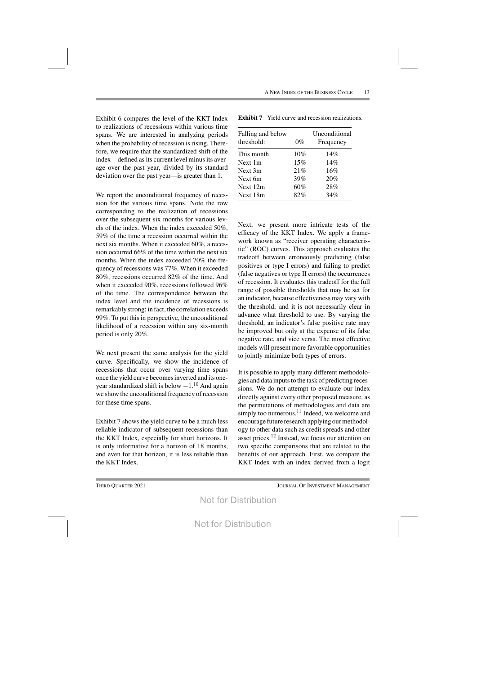Exhibit 6 compares the level of the KKT Index to realizations of recessions within various time spans. We are interested in analyzing periods when the probability of recession is rising. Therefore, we require that the standardized shift of the index—defined as its current level minus its average over the past year, divided by its standard deviation over the past year—is greater than 1.

We report the unconditional frequency of recession for the various time spans. Note the row corresponding to the realization of recessions over the subsequent six months for various levels of the index. When the index exceeded 50%, 59% of the time a recession occurred within the next six months. When it exceeded 60%, a recession occurred 66% of the time within the next six months. When the index exceeded 70% the frequency of recessions was 77%. When it exceeded 80%, recessions occurred 82% of the time. And when it exceeded 90%, recessions followed 96% of the time. The correspondence between the index level and the incidence of recessions is remarkably strong; in fact, the correlation exceeds 99%. To put this in perspective, the unconditional likelihood of a recession within any six-month period is only 20%.

We next present the same analysis for the yield curve. Specifically, we show the incidence of recessions that occur over varying time spans once the yield curve becomesinverted and its oneyear standardized shift is below  $-1.^{10}$  And again we show the unconditional frequency of recession for these time spans.

Exhibit 7 shows the yield curve to be a much less reliable indicator of subsequent recessions than the KKT Index, especially for short horizons. It is only informative for a horizon of 18 months, and even for that horizon, it is less reliable than the KKT Index.

| Falling and below<br>threshold: | $0\%$ | Unconditional<br>Frequency |
|---------------------------------|-------|----------------------------|
| This month                      | 10%   | 14%                        |
| Next 1m                         | 15%   | 14%                        |
| Next 3m                         | 21%   | 16%                        |
| Next 6m                         | 39%   | 20%                        |
| Next 12m                        | 60%   | 28%                        |
| Next 18m                        | 82%   | 34%                        |

**Exhibit 7** Yield curve and recession realizations.

Next, we present more intricate tests of the efficacy of the KKT Index. We apply a framework known as "receiver operating characteristic" (ROC) curves. This approach evaluates the tradeoff between erroneously predicting (false positives or type I errors) and failing to predict (false negatives or type II errors) the occurrences of recession. It evaluates this tradeoff for the full range of possible thresholds that may be set for an indicator, because effectiveness may vary with the threshold, and it is not necessarily clear in advance what threshold to use. By varying the threshold, an indicator's false positive rate may be improved but only at the expense of its false negative rate, and vice versa. The most effective models will present more favorable opportunities to jointly minimize both types of errors.

It is possible to apply many different methodologies and data inputs to the task of predicting recessions. We do not attempt to evaluate our index directly against every other proposed measure, as the permutations of methodologies and data are simply too numerous.<sup>11</sup> Indeed, we welcome and encourage future research applying our methodology to other data such as credit spreads and other asset prices.<sup>12</sup> Instead, we focus our attention on two specific comparisons that are related to the benefits of our approach. First, we compare the KKT Index with an index derived from a logit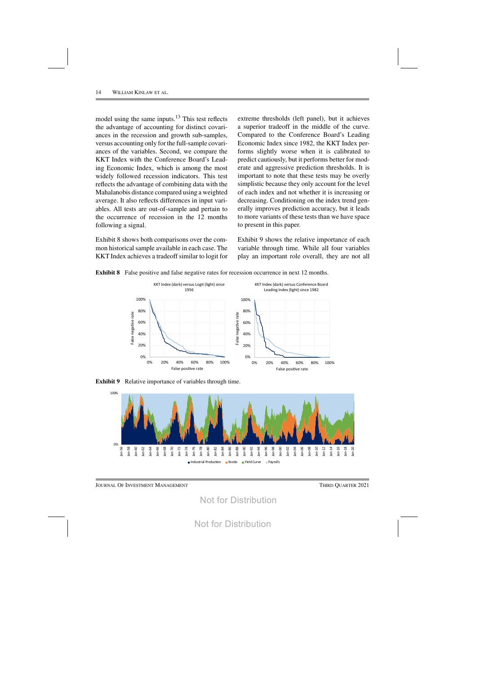model using the same inputs.<sup>13</sup> This test reflects the advantage of accounting for distinct covariances in the recession and growth sub-samples, versus accounting only for the full-sample covariances of the variables. Second, we compare the KKT Index with the Conference Board's Leading Economic Index, which is among the most widely followed recession indicators. This test reflects the advantage of combining data with the Mahalanobis distance compared using a weighted average. It also reflects differences in input variables. All tests are out-of-sample and pertain to the occurrence of recession in the 12 months following a signal.

Exhibit 8 shows both comparisons over the common historical sample available in each case. The KKT Index achieves a tradeoff similar to logit for extreme thresholds (left panel), but it achieves a superior tradeoff in the middle of the curve. Compared to the Conference Board's Leading Economic Index since 1982, the KKT Index performs slightly worse when it is calibrated to predict cautiously, but it performs better for moderate and aggressive prediction thresholds. It is important to note that these tests may be overly simplistic because they only account for the level of each index and not whether it is increasing or decreasing. Conditioning on the index trend generally improves prediction accuracy, but it leads to more variants of these tests than we have space to present in this paper.

Exhibit 9 shows the relative importance of each variable through time. While all four variables play an important role overall, they are not all





**Exhibit 9** Relative importance of variables through time.



JOURNAL OF INVESTMENT MANAGEMENT **THIRD QUARTER 2021**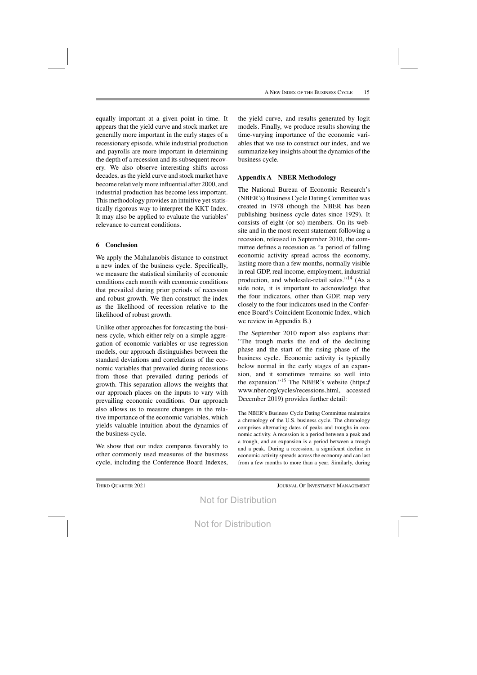equally important at a given point in time. It appears that the yield curve and stock market are generally more important in the early stages of a recessionary episode, while industrial production and payrolls are more important in determining the depth of a recession and its subsequent recovery. We also observe interesting shifts across decades, as the yield curve and stock market have become relatively more influential after 2000, and industrial production has become less important. This methodology provides an intuitive yet statistically rigorous way to interpret the KKT Index. It may also be applied to evaluate the variables' relevance to current conditions.

# **6 Conclusion**

We apply the Mahalanobis distance to construct a new index of the business cycle. Specifically, we measure the statistical similarity of economic conditions each month with economic conditions that prevailed during prior periods of recession and robust growth. We then construct the index as the likelihood of recession relative to the likelihood of robust growth.

Unlike other approaches for forecasting the business cycle, which either rely on a simple aggregation of economic variables or use regression models, our approach distinguishes between the standard deviations and correlations of the economic variables that prevailed during recessions from those that prevailed during periods of growth. This separation allows the weights that our approach places on the inputs to vary with prevailing economic conditions. Our approach also allows us to measure changes in the relative importance of the economic variables, which yields valuable intuition about the dynamics of the business cycle.

We show that our index compares favorably to other commonly used measures of the business cycle, including the Conference Board Indexes, the yield curve, and results generated by logit models. Finally, we produce results showing the time-varying importance of the economic variables that we use to construct our index, and we summarize key insights about the dynamics of the business cycle.

# **Appendix A NBER Methodology**

The National Bureau of Economic Research's (NBER's) Business Cycle Dating Committee was created in 1978 (though the NBER has been publishing business cycle dates since 1929). It consists of eight (or so) members. On its website and in the most recent statement following a recession, released in September 2010, the committee defines a recession as "a period of falling economic activity spread across the economy, lasting more than a few months, normally visible in real GDP, real income, employment, industrial production, and wholesale-retail sales."14 (As a side note, it is important to acknowledge that the four indicators, other than GDP, map very closely to the four indicators used in the Conference Board's Coincident Economic Index, which we review in Appendix B.)

The September 2010 report also explains that: "The trough marks the end of the declining phase and the start of the rising phase of the business cycle. Economic activity is typically below normal in the early stages of an expansion, and it sometimes remains so well into the expansion."15 The NBER's website (https:// www.nber.org/cycles/recessions.html, accessed December 2019) provides further detail:

The NBER's Business Cycle Dating Committee maintains a chronology of the U.S. business cycle. The chronology comprises alternating dates of peaks and troughs in economic activity. A recession is a period between a peak and a trough, and an expansion is a period between a trough and a peak. During a recession, a significant decline in economic activity spreads across the economy and can last from a few months to more than a year. Similarly, during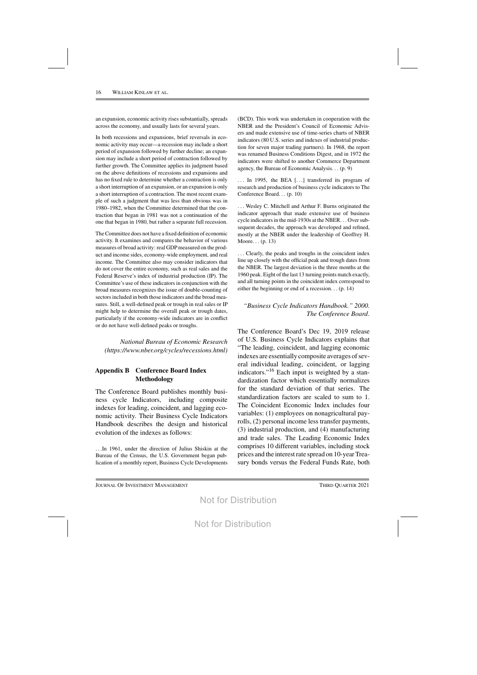an expansion, economic activity rises substantially, spreads across the economy, and usually lasts for several years.

In both recessions and expansions, brief reversals in economic activity may occur—a recession may include a short period of expansion followed by further decline; an expansion may include a short period of contraction followed by further growth. The Committee applies its judgment based on the above definitions of recessions and expansions and has no fixed rule to determine whether a contraction is only a short interruption of an expansion, or an expansion is only a short interruption of a contraction. The most recent example of such a judgment that was less than obvious was in 1980–1982, when the Committee determined that the contraction that began in 1981 was not a continuation of the one that began in 1980, but rather a separate full recession.

TheCommittee does not have a fixed definition of economic activity. It examines and compares the behavior of various measures of broad activity: real GDP measured on the product and income sides, economy-wide employment, and real income. The Committee also may consider indicators that do not cover the entire economy, such as real sales and the Federal Reserve's index of industrial production (IP). The Committee's use of these indicators in conjunction with the broad measures recognizes the issue of double-counting of sectors included in both those indicators and the broad measures. Still, a well-defined peak or trough in real sales or IP might help to determine the overall peak or trough dates, particularly if the economy-wide indicators are in conflict or do not have well-defined peaks or troughs.

*National Bureau of Economic Research (https://www.nber.org/cycles/recessions.html)*

# **Appendix B Conference Board Index Methodology**

The Conference Board publishes monthly business cycle Indicators, including composite indexes for leading, coincident, and lagging economic activity. Their Business Cycle Indicators Handbook describes the design and historical evolution of the indexes as follows:

...In 1961, under the direction of Julius Shiskin at the Bureau of the Census, the U.S. Government began publication of a monthly report, Business Cycle Developments

(BCD). This work was undertaken in cooperation with the NBER and the President's Council of Economic Advisers and made extensive use of time-series charts of NBER indicators (80 U.S. series and indexes of industrial production for seven major trading partners). In 1968, the report was renamed Business Conditions Digest, and in 1972 the indicators were shifted to another Commerce Department agency, the Bureau of Economic Analysis... (p. 9)

... In 1995, the BEA [...] transferred its program of research and production of business cycle indicators to The Conference Board... (p. 10)

... Wesley C. Mitchell and Arthur F. Burns originated the indicator approach that made extensive use of business cycle indicatorsin the mid-1930s at the NBER... Oversubsequent decades, the approach was developed and refined, mostly at the NBER under the leadership of Geoffrey H. Moore... (p. 13)

... Clearly, the peaks and troughs in the coincident index line up closely with the official peak and trough dates from the NBER. The largest deviation is the three months at the 1960 peak. Eight of the last 13 turning points match exactly, and all turning points in the coincident index correspond to either the beginning or end of a recession... (p. 14)

# *"Business Cycle Indicators Handbook." 2000. The Conference Board*.

The Conference Board's Dec 19, 2019 release of U.S. Business Cycle Indicators explains that "The leading, coincident, and lagging economic indexes are essentially composite averages of several individual leading, coincident, or lagging indicators."16 Each input is weighted by a standardization factor which essentially normalizes for the standard deviation of that series. The standardization factors are scaled to sum to 1. The Coincident Economic Index includes four variables: (1) employees on nonagricultural payrolls, (2) personal income less transfer payments, (3) industrial production, and (4) manufacturing and trade sales. The Leading Economic Index comprises 10 different variables, including stock prices and the interest rate spread on 10-year Treasury bonds versus the Federal Funds Rate, both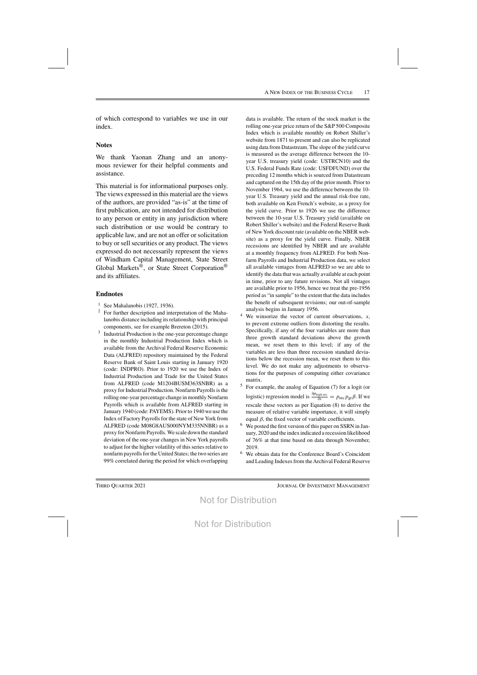of which correspond to variables we use in our index.

## **Notes**

We thank Yaonan Zhang and an anonymous reviewer for their helpful comments and assistance.

This material is for informational purposes only. The views expressed in this material are the views of the authors, are provided "as-is" at the time of first publication, are not intended for distribution to any person or entity in any jurisdiction where such distribution or use would be contrary to applicable law, and are not an offer or solicitation to buy or sell securities or any product. The views expressed do not necessarily represent the views of Windham Capital Management, State Street Global Markets®, or State Street Corporation® and its affiliates.

## **Endnotes**

- <sup>1</sup> See Mahalanobis (1927, 1936).
- <sup>2</sup> For further description and interpretation of the Mahalanobis distance including itsrelationship with principal components, see for example Brereton (2015).
- <sup>3</sup> Industrial Production is the one-year percentage change in the monthly Industrial Production Index which is available from the Archival Federal Reserve Economic Data (ALFRED) repository maintained by the Federal Reserve Bank of Saint Louis starting in January 1920 (code: INDPRO). Prior to 1920 we use the Index of Industrial Production and Trade for the United States from ALFRED (code M1204BUSM363SNBR) as a proxy for Industrial Production. Nonfarm Payrolls is the rolling one-year percentage change in monthly Nonfarm Payrolls which is available from ALFRED starting in January 1940 (code: PAYEMS). Priorto 1940 we use the Index of Factory Payrolls for the state of New York from ALFRED (code M08G8AUS000NYM335NNBR) as a proxy for NonfarmPayrolls. We scale down the standard deviation of the one-year changes in New York payrolls to adjust for the higher volatility of this series relative to nonfarm payrolls for the United States; the two series are 99% correlated during the period for which overlapping

data is available. The return of the stock market is the rolling one-year price return of the S&P 500 Composite Index which is available monthly on Robert Shiller's website from 1871 to present and can also be replicated using data from Datastream. The slope of the yield curve is measured as the average difference between the 10 year U.S. treasury yield (code: USTRCN10) and the U.S. Federal Funds Rate (code: USFDFUND) over the preceding 12 months which is sourced from Datastream and captured on the 15th day of the prior month. Prior to November 1964, we use the difference between the 10 year U.S. Treasury yield and the annual risk-free rate, both available on Ken French's website, as a proxy for the yield curve. Prior to 1926 we use the difference between the 10-year U.S. Treasury yield (available on Robert Shiller's website) and the Federal Reserve Bank of NewYork discount rate (available on the NBER website) as a proxy for the yield curve. Finally, NBER recessions are identified by NBER and are available at a monthly frequency from ALFRED. For both Nonfarm Payrolls and Industrial Production data, we select all available vintages from ALFRED so we are able to identify the data that was actually available at each point in time, prior to any future revisions. Not all vintages are available prior to 1956, hence we treat the pre-1956 period as "in sample" to the extent that the data includes the benefit of subsequent revisions; our out-of-sample analysis begins in January 1956.

- We winsorize the vector of current observations,  $x$ , to prevent extreme outliers from distorting the results. Specifically, if any of the four variables are more than three growth standard deviations above the growth mean, we reset them to this level; if any of the variables are less than three recession standard deviations below the recession mean, we reset them to this level. We do not make any adjustments to observations for the purposes of computing either covariance matrix.
- <sup>5</sup> For example, the analog of Equation (7) for a logit (or logistic) regression model is  $\frac{\partial p_{\text{logit,rec}}}{\partial x} = p_{\text{rec}} p_{\text{gr}} \beta$ . If we rescale these vectors as per Equation (8) to derive the measure of relative variable importance, it will simply equal  $β$ , the fixed vector of variable coefficients.
- <sup>6</sup> We posted the first version of this paper on SSRN in January, 2020 and the index indicated a recession likelihood of 76% at that time based on data through November, 2019.
- <sup>6</sup> We obtain data for the Conference Board's Coincident and Leading Indexes from the Archival Federal Reserve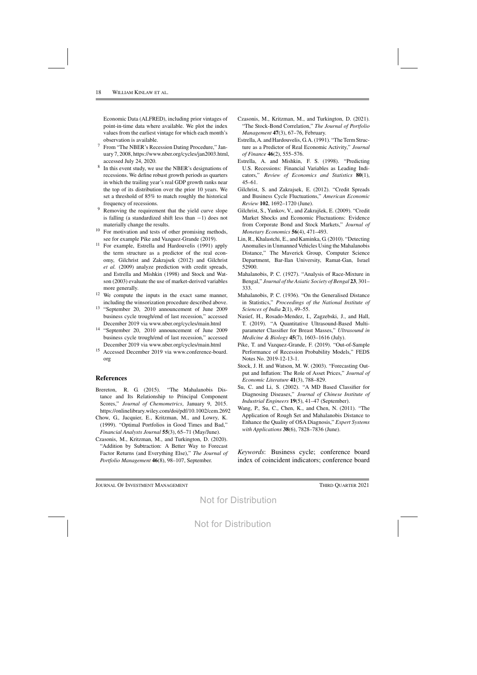Economic Data (ALFRED), including prior vintages of point-in-time data where available. We plot the index values from the earliest vintage for which each month's observation is available.

- <sup>7</sup> From "The NBER's Recession Dating Procedure," January 7, 2008, https://www.nber.org/cycles/jan2003.html, accessed July 24, 2020.
- <sup>8</sup> In this event study, we use the NBER's designations of recessions. We define robust growth periods as quarters in which the trailing year's real GDP growth ranks near the top of its distribution over the prior 10 years. We set a threshold of 85% to match roughly the historical frequency of recessions.
- <sup>9</sup> Removing the requirement that the yield curve slope is falling (a standardized shift less than −1) does not materially change the results.
- $10$  For motivation and tests of other promising methods, see for example Pike and Vazquez-Grande (2019).
- <sup>11</sup> For example, Estrella and Hardouvelis (1991) apply the term structure as a predictor of the real economy, Gilchrist and Zakrajsek (2012) and Gilchrist *et al.* (2009) analyze prediction with credit spreads, and Estrella and Mishkin (1998) and Stock and Watson (2003) evaluate the use of market-derived variables more generally.
- <sup>12</sup> We compute the inputs in the exact same manner, including the winsorization procedure described above.
- <sup>13</sup> "September 20, 2010 announcement of June 2009 business cycle trough/end of last recession," accessed December 2019 via www.nber.org/cycles/main.html
- <sup>14</sup> "September 20, 2010 announcement of June 2009 business cycle trough/end of last recession," accessed December 2019 via www.nber.org/cycles/main.html
- <sup>15</sup> Accessed December 2019 via www.conference-board. org

## **References**

- Brereton, R. G. (2015). "The Mahalanobis Distance and Its Relationship to Principal Component Scores," *Journal of Chemometrics*, January 9, 2015. https://onlinelibrary.wiley.com/doi/pdf/10.1002/cem.2692
- Chow, G., Jacquier, E., Kritzman, M., and Lowry, K. (1999). "Optimal Portfolios in Good Times and Bad," *Financial Analysts Journal* **55**(3), 65–71 (May/June).
- Czasonis, M., Kritzman, M., and Turkington, D. (2020). "Addition by Subtraction: A Better Way to Forecast Factor Returns (and Everything Else)," *The Journal of Portfolio Management* **46**(8), 98–107, September.
- Czasonis, M., Kritzman, M., and Turkington, D. (2021). "The Stock-Bond Correlation," *The Journal of Portfolio Management* **47**(3), 67–76, February.
- Estrella, A. and Hardouvelis, G.A. (1991). "The Term Structure as a Predictor of Real Economic Activity," *Journal of Finance* **46**(2), 555–576.
- Estrella, A. and Mishkin, F. S. (1998). "Predicting U.S. Recessions: Financial Variables as Leading Indicators," *Review of Economics and Statistics* **80**(1), 45–61.
- Gilchrist, S. and Zakrajsek, E. (2012). "Credit Spreads and Business Cycle Fluctuations," *American Economic Review* **102**, 1692–1720 (June).
- Gilchrist, S., Yankov, V., and Zakrajšek, E. (2009). "Credit Market Shocks and Economic Fluctuations: Evidence from Corporate Bond and Stock Markets," *Journal of Monetary Economics* **56**(4), 471–493.
- Lin, R., Khalastchi, E., and Kaminka, G.(2010). "Detecting Anomalies in Unmanned Vehicles Using the Mahalanobis Distance," The Maverick Group, Computer Science Department, Bar-Ilan University, Ramat-Gan, Israel 52900.
- Mahalanobis, P. C. (1927). "Analysis of Race-Mixture in Bengal," *Journal of theAsiatic Society of Bengal* **23**, 301– 333.
- Mahalanobis, P. C. (1936). "On the Generalised Distance in Statistics," *Proceedings of the National Institute of Sciences of India* **2**(1), 49–55.
- Nasief, H., Rosado-Mendez, I., Zagzebski, J., and Hall, T. (2019). "A Quantitative Ultrasound-Based Multiparameter Classifier for Breast Masses," *Ultrasound in Medicine & Biology* **45**(7), 1603–1616 (July).
- Pike, T. and Vazquez-Grande, F. (2019). "Out-of-Sample Performance of Recession Probability Models," FEDS Notes No. 2019-12-13-1.
- Stock, J. H. and Watson, M. W. (2003). "Forecasting Output and Inflation: The Role of Asset Prices," *Journal of Economic Literature* **41**(3), 788–829.
- Su, C. and Li, S. (2002). "A MD Based Classifier for Diagnosing Diseases," *Journal of Chinese Institute of Industrial Engineers* **19**(5), 41–47 (September).
- Wang, P., Su, C., Chen, K., and Chen, N. (2011). "The Application of Rough Set and Mahalanobis Distance to Enhance the Quality of OSA Diagnosis," *Expert Systems with Applications* **38**(6), 7828–7836 (June).

*Keywords*: Business cycle; conference board index of coincident indicators; conference board